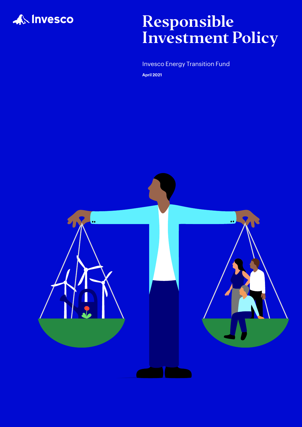

# Responsible Investment Policy

Invesco Energy Transition Fund

**April 2021**

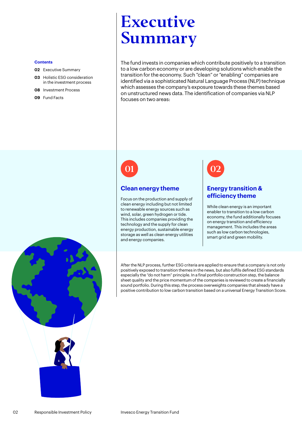# Executive Summary

The fund invests in companies which contribute positively to a transition to a low carbon economy or are developing solutions which enable the transition for the economy. Such "clean" or "enabling" companies are identified via a sophisticated Natural Language Process (NLP) technique which assesses the company's exposure towards these themes based on unstructured news data. The identification of companies via NLP focuses on two areas:

01 02

### **Clean energy theme**

Focus on the production and supply of clean energy including but not limited to renewable energy sources such as wind, solar, green hydrogen or tide. This includes companies providing the technology and the supply for clean energy production, sustainable energy storage as well as clean energy utilities and energy companies.

#### **Energy transition & efficiency theme**

While clean energy is an important enabler to transition to a low carbon economy, the fund additionally focuses on energy transition and efficiency management. This includes the areas such as low carbon technologies, smart grid and green mobility.

After the NLP process, further ESG criteria are applied to ensure that a company is not only positively exposed to transition themes in the news, but also fulfils defined ESG standards especially the "do not harm" principle. In a final portfolio construction step, the balance sheet quality and the price momentum of the companies is reviewed to create a financially sound portfolio. During this step, the process overweights companies that already have a positive contribution to low carbon transition based on a universal Energy Transition Score.

#### **Contents**

- **02** Executive Summary
- **03** [Holistic ESG consideration](#page-2-0)  [in the investment process](#page-2-0)
- **08** [Investment Process](#page-7-0)
- **09** [Fund Facts](#page-8-0)



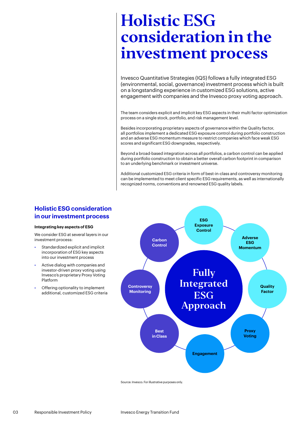<span id="page-2-0"></span>Invesco Quantitative Strategies (IQS) follows a fully integrated ESG (environmental, social, governance) investment process which is built on a longstanding experience in customized ESG solutions, active engagement with companies and the Invesco proxy voting approach.

The team considers explicit and implicit key ESG aspects in their multi factor optimization process on a single stock, portfolio, and risk management level.

Besides incorporating proprietary aspects of governance within the Quality factor, all portfolios implement a dedicated ESG exposure control during portfolio construction and an adverse ESG momentum measure to restrict companies which face weak ESG scores and significant ESG downgrades, respectively.

Beyond a broad-based integration across all portfolios, a carbon control can be applied during portfolio construction to obtain a better overall carbon footprint in comparison to an underlying benchmark or investment universe.

Additional customized ESG criteria in form of best-in-class and controversy monitoring can be implemented to meet client specific ESG requirements, as well as internationally recognized norms, conventions and renowned ESG quality labels.

#### **Holistic ESG consideration in our investment process**

#### **Integrating key aspects of ESG**

We consider ESG at several layers in our investment process:

- Standardized explicit and implicit incorporation of ESG key aspects into our investment process
- Active dialog with companies and investor-driven proxy voting using Invesco's proprietary Proxy Voting Platform
- Offering optionality to implement additional, customized ESG criteria



Source: Invesco. For illustrative purposes only.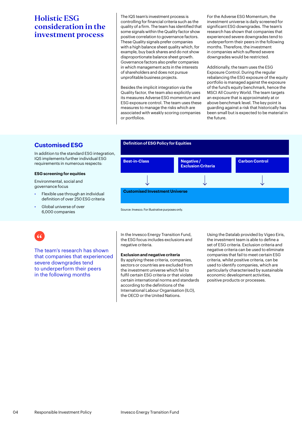The IQS team's investment process is controlling for financial criteria such as the quality of a firm. The team has identified that some signals within the Quality factor show positive correlation to governance factors. These Quality signals prefer companies with a high balance sheet quality which, for example, buy back shares and do not show disproportionate balance sheet growth. Governance factors also prefer companies in which management acts in the interests of shareholders and does not pursue unprofitable business projects.

Besides the implicit integration via the Quality factor, the team also explicitly uses its measures Adverse ESG momentum and ESG exposure control. The team uses these measures to manage the risks which are associated with weakly scoring companies or portfolios.

For the Adverse ESG Momentum, the investment universe is daily screened for significant ESG downgrades. The team's research has shown that companies that experienced severe downgrades tend to underperform their peers in the following months. Therefore, the investment in companies which suffered severe downgrades would be restricted.

Additionally, the team uses the ESG Exposure Control. During the regular rebalancing the ESG exposure of the equity portfolio is managed against the exposure of the fund's equity benchmark, hence the MSCI All Country World. The team targets an exposure that is approximately at or above benchmark level. The key point is guarding against a risk that historically has been small but is expected to be material in the future.

### **Customised ESG Definition of ESG Policy for Equities**

In addition to the standard ESG integration, IQS implements further individual ESG requirements in numerous respects:

#### **ESG screening for equities**

Environmental, social and governance focus

- Flexible use through an individual definition of over 250 ESG criteria
- Global universe of over 6,000 companies



Source: Invesco. For illustrative purposes only.

The team's research has shown that companies that experienced severe downgrades tend to underperform their peers in the following months

In the Invesco Energy Transition Fund, the ESG focus includes exclusions and negative criteria.

#### **Exclusion and negative criteria**

By applying these criteria, companies, sectors or countries are excluded from the investment universe which fail to fulfil certain ESG criteria or that violate certain international norms and standards according to the definitions of the International Labour Organisation (ILO), the OECD or the United Nations.

Using the Datalab provided by Vigeo Eiris, the investment team is able to define a set of ESG criteria. Exclusion criteria and negative criteria can be used to eliminate companies that fail to meet certain ESG criteria, whilst positive criteria, can be used to identify companies, which are particularly characterised by sustainable economic development activities, positive products or processes.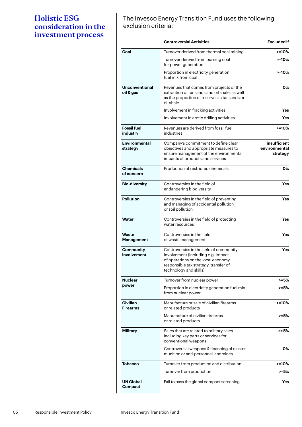The Invesco Energy Transition Fund uses the following exclusion criteria:

|                                    | <b>Controversial Activities</b>                                                                                                                                                         | <b>Excluded if</b>                        |
|------------------------------------|-----------------------------------------------------------------------------------------------------------------------------------------------------------------------------------------|-------------------------------------------|
| Coal                               | Turnover derived from thermal coal mining                                                                                                                                               | $> = 10%$                                 |
|                                    | Turnover derived from burning coal<br>for power generation                                                                                                                              | $> = 10%$                                 |
|                                    | Proportion in electricity generation<br>fuel mix from coal                                                                                                                              | >=10%                                     |
| <b>Unconventional</b><br>oil & gas | Revenues that comes from projects or the<br>extraction of tar sands and oil shale, as well<br>as the proportion of reserves in tar sands or<br>oil shale                                | 0%                                        |
|                                    | Involvement in fracking activities                                                                                                                                                      | Yes                                       |
|                                    | Involvement in arctic drilling activities                                                                                                                                               | Yes                                       |
| <b>Fossil fuel</b><br>industry     | Revenues are derived from fossil fuel<br>industries                                                                                                                                     | >=10%                                     |
| <b>Environmental</b><br>strategy   | Company's commitment to define clear<br>objectives and appropriate measures to<br>ensure management of the environmental<br>impacts of products and services                            | insufficient<br>environmental<br>strategy |
| <b>Chemicals</b><br>of concern     | Production of restricted chemicals                                                                                                                                                      | О%                                        |
| <b>Bio-diversity</b>               | Controversies in the field of<br>endangering biodiversity                                                                                                                               | Yes                                       |
| <b>Pollution</b>                   | Controversies in the field of preventing<br>and managing of accidental pollution<br>or soil pollution                                                                                   | Yes                                       |
| Water                              | Controversies in the field of protecting<br>water resources                                                                                                                             | Yes                                       |
| Waste<br>Management                | Controversies in the field<br>of waste management                                                                                                                                       | Yes                                       |
| Community<br>involvement           | Controversies in the field of community<br>involvement (including e.g. impact<br>of operations on the local economy,<br>responsible tax strategy, transfer of<br>technology and skills) | Yes                                       |
| <b>Nuclear</b><br>power            | Turnover from nuclear power                                                                                                                                                             | >=5%                                      |
|                                    | Proportion in electricity generation fuel mix<br>from nuclear power                                                                                                                     | >=5%                                      |
| <b>Civilian</b><br><b>Firearms</b> | Manufacture or sale of civilian firearms<br>or related products                                                                                                                         | $> = 10%$                                 |
|                                    | Manufacture of civilian firearms<br>or related products                                                                                                                                 | $> = 5\%$                                 |
| Military                           | Sales that are related to military sales<br>including key parts or services for<br>conventional weapons                                                                                 | >= 5%                                     |
|                                    | Controversial weapons & financing of cluster<br>munition or anti-personnel landmines                                                                                                    | 0%                                        |
| <b>Tobacco</b>                     | Turnover from production and distribution                                                                                                                                               | $> = 10%$                                 |
|                                    | Turnover from production                                                                                                                                                                | >=5%                                      |
| <b>UN Global</b><br>Compact        | Fail to pass the global compact screening                                                                                                                                               | Yes                                       |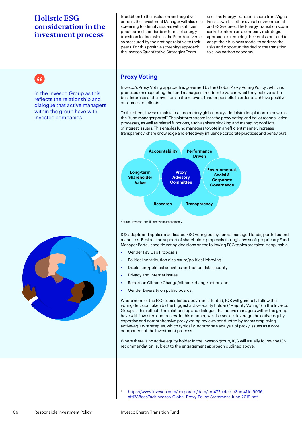In addition to the exclusion and negative criteria, the Investment Manager will also use screening to identify issuers with sufficient practice and standards in terms of energy transition for inclusion in the Fund's universe, as measured by their ratings relative to their peers. For this positive screening approach, the Invesco Quantitative Strategies Team

uses the Energy Transition score from Vigeo Eiris, as well as other overall environmental and ESG scores. The Energy Transition score seeks to inform on a company's strategic approach to reducing their emissions and to adapt their business model to address the risks and opportunities tied to the transition to a low carbon economy.



in the Invesco Group as this reflects the relationship and dialogue that active managers within the group have with investee companies

## **Proxy Voting**

Invesco's Proxy Voting approach is governed by the Global Proxy Voting Policy , which is premised on respecting the fund manager's freedom to vote in what they believe is the best interests of the investors in the relevant fund or portfolio in order to achieve positive outcomes for clients.

To this effect, Invesco maintains a proprietary global proxy administration platform, known as the "fund manager portal". The platform streamlines the proxy voting and ballot reconciliation processes, as well as related functions, such as share blocking and managing conflicts of interest issuers. This enables fund managers to vote in an efficient manner, increase transparency, share knowledge and effectively influence corporate practices and behaviours.



Source: Invesco. For illustrative purposes only.

IQS adopts and applies a dedicated ESG voting policy across managed funds, portfolios and mandates. Besides the support of shareholder proposals through Invesco's proprietary Fund Manager Portal, specific voting decisions on the following ESG topics are taken if applicable:

- Gender Pay Gap Proposals,
- Political contribution disclosure/political lobbying
- Disclosure/political activities and action data security
- Privacy and internet issues
- Report on Climate Change/climate change action and
- Gender Diversity on public boards.

Where none of the ESG topics listed above are affected, IQS will generally follow the voting decision taken by the biggest active equity holder ("Majority Voting") in the Invesco Group as this reflects the relationship and dialogue that active managers within the group have with investee companies. In this manner, we also seek to leverage the active-equity expertise and comprehensive proxy voting reviews conducted by teams employing active-equity strategies, which typically incorporate analysis of proxy issues as a core component of the investment process.

Where there is no active equity holder in the Invesco group, IQS will usually follow the ISS recommendation, subject to the engagement approach outlined above.



<sup>1</sup> [https://www.invesco.com/corporate/dam/jcr:472ccfeb-b3cc-411e-9996]( https://www.invesco.com/corporate/dam/jcr:472ccfeb-b3cc-411e-9996-afd238caa7ad/Invesco-Global-Proxy-Policy-Statement-June-2019.pdf) [afd238caa7ad/Invesco-Global-Proxy-Policy-Statement-June-2019.pdf]( https://www.invesco.com/corporate/dam/jcr:472ccfeb-b3cc-411e-9996-afd238caa7ad/Invesco-Global-Proxy-Policy-Statement-June-2019.pdf)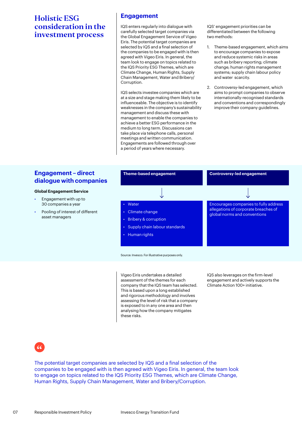#### **Engagement**

IQS enters regularly into dialogue with carefully selected target companies via the Global Engagement Service of Vigeo Eiris. The potential target companies are selected by IQS and a final selection of the companies to be engaged with is then agreed with Vigeo Eiris. In general, the team look to engage on topics related to the IQS Priority ESG Themes, which are Climate Change, Human Rights, Supply Chain Management, Water and Bribery/ Corruption.

IQS selects investee companies which are at a size and stage making them likely to be influenceable. The objective is to identify weaknesses in the company's sustainability management and discuss these with management to enable the companies to achieve a better ESG performance in the medium to long term. Discussions can take place via telephone calls, personal meetings and written communication. Engagements are followed through over a period of years where necessary.

IQS' engagement priorities can be differentiated between the following two methods:

- 1. Theme-based engagement, which aims to encourage companies to expose and reduce systemic risks in areas such as bribery reporting; climate change; human rights management systems; supply chain labour policy and water scarcity.
- 2. Controversy-led engagement, which aims to prompt companies to observe internationally-recognised standards and conventions and correspondingly improve their company guidelines.

#### **Engagement – direct dialogue with companies**

#### **Global Engagement Service**

- Engagement with up to 30 companies a year
- Pooling of interest of different asset managers



Vigeo Eiris undertakes a detailed assessment of the themes for each company that the IQS team has selected. This is based upon a long established and rigorous methodology and involves assessing the level of risk that a company is exposed to in any one area and then analysing how the company mitigates these risks.

IQS also leverages on the firm-level engagement and actively supports the Climate Action 100+ initiative.

The potential target companies are selected by IQS and a final selection of the companies to be engaged with is then agreed with Vigeo Eiris. In general, the team look to engage on topics related to the IQS Priority ESG Themes, which are Climate Change, Human Rights, Supply Chain Management, Water and Bribery/Corruption.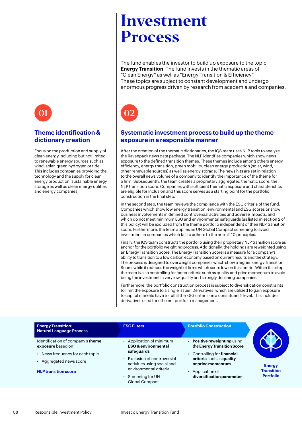<span id="page-7-0"></span>

#### **Theme identification & dictionary creation**

Focus on the production and supply of clean energy including but not limited to renewable energy sources such as wind, solar, green hydrogen or tide. This includes companies providing the technology and the supply for clean energy production, sustainable energy storage as well as clean energy utilities and energy companies.

# Investment Process

The fund enables the investor to build up exposure to the topic **Energy Transition**. The fund invests in the thematic areas of "Clean Energy" as well as "Energy Transition & Efficiency". These topics are subject to constant development and undergo enormous progress driven by research from academia and companies.

## 01 02

#### **Systematic investment process to build up the theme exposure in a responsible manner**

After the creation of the thematic dictionaries, the IQS team uses NLP tools to analyze the Ravenpack news data package. The NLP identifies companies which show news exposure to the defined transition themes. These themes include among others energy efficiency, energy transition, green mobility, clean energy production (solar, wind, other renewable sources) as well as energy storage. The news hits are set in relation to the overall news volume of a company to identify the importance of the theme for a firm. Subsequently, the team creates a proprietary aggregated thematic score, the NLP transition score. Companies with sufficient thematic exposure and characteristics are eligible for inclusion and this score serves as a starting point for the portfolio construction in the final step.

In the second step, the team reviews the compliance with the ESG criteria of the fund. Companies which show low energy transition, environmental and ESG scores or show business involvements in defined controversial activities and adverse impacts, and which do not meet minimum ESG and environmental safeguards (as listed in section 2 of this policy) will be excluded from the theme portfolio independent of their NLP transition score. Furthermore, the team applies an UN Global Compact screening to avoid investment in companies which fail to adhere to the norm's 10 principles.

Finally, the IQS team constructs the portfolio using their proprietary NLP transition score as anchor for the portfolio weighting process. Additionally, the holdings are reweighted using an Energy Transition Score. The Energy Transition Score is a measure for a company's ability to transition to a low carbon economy based on current results and the strategy. The process is designed to overweight companies which show a higher Energy Transition Score, while it reduces the weight of firms which score low on this metric. Within this step the team is also controlling for factor criteria such as quality and price momentum to avoid being the investment in very low quality and strongly declining companies.

Furthermore, the portfolio construction process is subject to diversification constraints to limit the exposure to a single issuer. Derivatives, which are utilized to gain exposure to capital markets have to fulfill the ESG criteria on a constituent's level. This includes derivatives used for efficient portfolio management.

| <b>Energy Transition:</b><br><b>Natural Language Process</b>                                                                                      | <b>ESG Filters</b>                                                                                                                                                                                        | <b>Portfolio Construction</b>                                                                                                                                                              |                                                        |
|---------------------------------------------------------------------------------------------------------------------------------------------------|-----------------------------------------------------------------------------------------------------------------------------------------------------------------------------------------------------------|--------------------------------------------------------------------------------------------------------------------------------------------------------------------------------------------|--------------------------------------------------------|
| Identification of company's theme<br>exposure based on<br>• News frequency for each topic<br>Aggregated news score<br><b>NLP transition score</b> | • Application of minimum<br><b>ESG &amp; environmental</b><br>safeguards<br>• Exclusion of controversial<br>activities using social and<br>environmental criteria<br>• Screening for UN<br>Global Compact | • Positive reweighting using<br>the Energy Transition Score<br>• Controlling for financial<br>criteria such as quality<br>or price momentum<br>Application of<br>diversification parameter | <b>Energy</b><br><b>Transition</b><br><b>Portfolio</b> |